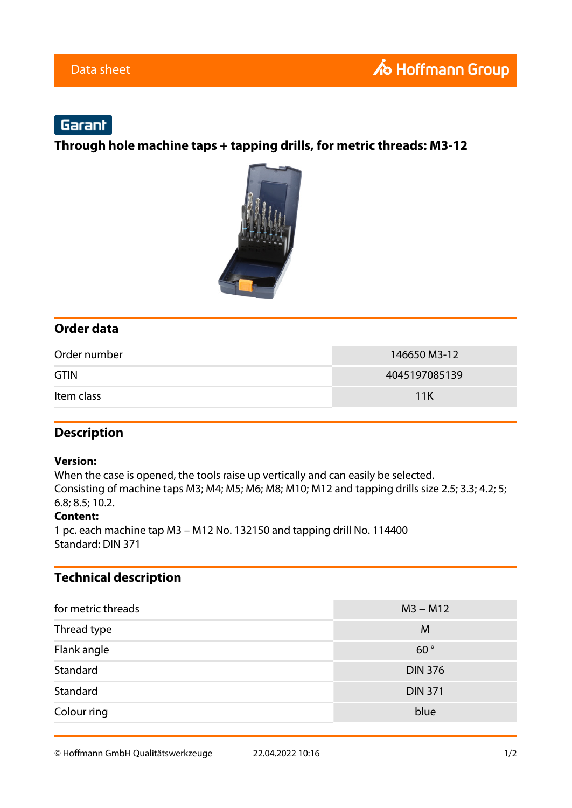# Garant

**Through hole machine taps + tapping drills, for metric threads: M3-12**



## **Order data**

| Order number | 146650 M3-12  |
|--------------|---------------|
| <b>GTIN</b>  | 4045197085139 |
| Item class   | 11K           |

### **Description**

#### **Version:**

When the case is opened, the tools raise up vertically and can easily be selected. Consisting of machine taps M3; M4; M5; M6; M8; M10; M12 and tapping drills size 2.5; 3.3; 4.2; 5; 6.8; 8.5; 10.2.

#### **Content:**

1 pc. each machine tap M3 – M12 No. 132150 and tapping drill No. 114400 Standard: DIN 371

## **Technical description**

| for metric threads | $M3 - M12$     |
|--------------------|----------------|
| Thread type        | M              |
| Flank angle        | 60°            |
| Standard           | <b>DIN 376</b> |
| Standard           | <b>DIN 371</b> |
| Colour ring        | blue           |